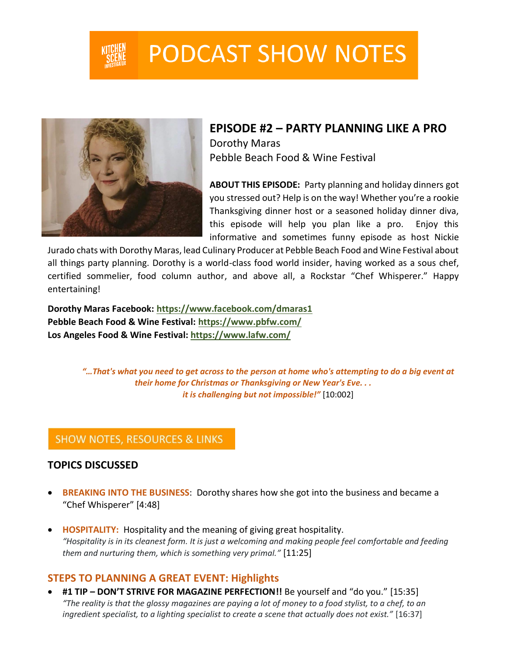

# **PODCAST SHOW NOTES**



**EPISODE #2 – PARTY PLANNING LIKE A PRO** Dorothy Maras Pebble Beach Food & Wine Festival

**ABOUT THIS EPISODE:** Party planning and holiday dinners got you stressed out? Help is on the way! Whether you're a rookie Thanksgiving dinner host or a seasoned holiday dinner diva, this episode will help you plan like a pro. Enjoy this informative and sometimes funny episode as host Nickie

Jurado chats with Dorothy Maras, lead Culinary Producer at Pebble Beach Food and Wine Festival about all things party planning. Dorothy is a world-class food world insider, having worked as a sous chef, certified sommelier, food column author, and above all, a Rockstar "Chef Whisperer." Happy entertaining!

**Dorothy Maras Facebook:<https://www.facebook.com/dmaras1> Pebble Beach Food & Wine Festival:<https://www.pbfw.com/> Los Angeles Food & Wine Festival: <https://www.lafw.com/>**

> *"…That's what you need to get across to the person at home who's attempting to do a big event at their home for Christmas or Thanksgiving or New Year's Eve. . . it is challenging but not impossible!"* [10:002]

## **SHOW NOTES, RESOURCES & LINKS**

#### **TOPICS DISCUSSED**

- **BREAKING INTO THE BUSINESS**: Dorothy shares how she got into the business and became a "Chef Whisperer" [4:48]
- **HOSPITALITY:** Hospitality and the meaning of giving great hospitality. *"Hospitality is in its cleanest form. It is just a welcoming and making people feel comfortable and feeding them and nurturing them, which is something very primal."* [11:25]

## **STEPS TO PLANNING A GREAT EVENT: Highlights**

• **#1 TIP – DON'T STRIVE FOR MAGAZINE PERFECTION!!** Be yourself and "do you." [15:35] *"The reality is that the glossy magazines are paying a lot of money to a food stylist, to a chef, to an ingredient specialist, to a lighting specialist to create a scene that actually does not exist."* [16:37]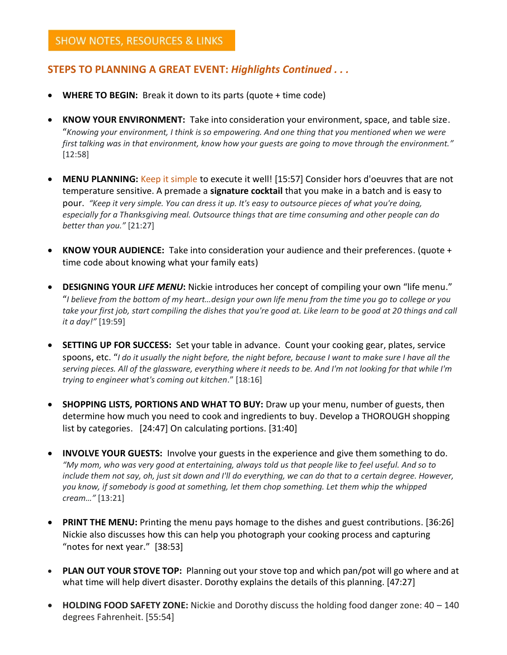## **STEPS TO PLANNING A GREAT EVENT:** *Highlights Continued . . .*

- **WHERE TO BEGIN:** Break it down to its parts (quote + time code)
- **KNOW YOUR ENVIRONMENT:** Take into consideration your environment, space, and table size. "*Knowing your environment, I think is so empowering. And one thing that you mentioned when we were first talking was in that environment, know how your guests are going to move through the environment."* [12:58]
- **MENU PLANNING:** Keep it simple to execute it well! [15:57] Consider hors d'oeuvres that are not temperature sensitive. A premade a **signature cocktail** that you make in a batch and is easy to pour. *"Keep it very simple. You can dress it up. It's easy to outsource pieces of what you're doing, especially for a Thanksgiving meal. Outsource things that are time consuming and other people can do better than you."* [21:27]
- **KNOW YOUR AUDIENCE:** Take into consideration your audience and their preferences. (quote + time code about knowing what your family eats)
- **DESIGNING YOUR** *LIFE MENU***:** Nickie introduces her concept of compiling your own "life menu." "*I believe from the bottom of my heart…design your own life menu from the time you go to college or you*  take your first job, start compiling the dishes that you're good at. Like learn to be good at 20 things and call *it a day!"* [19:59]
- **SETTING UP FOR SUCCESS:** Set your table in advance. Count your cooking gear, plates, service spoons, etc. "*I do it usually the night before, the night before, because I want to make sure I have all the serving pieces. All of the glassware, everything where it needs to be. And I'm not looking for that while I'm trying to engineer what's coming out kitchen*." [18:16]
- **SHOPPING LISTS, PORTIONS AND WHAT TO BUY:** Draw up your menu, number of guests, then determine how much you need to cook and ingredients to buy. Develop a THOROUGH shopping list by categories. [24:47] On calculating portions. [31:40]
- **INVOLVE YOUR GUESTS:** Involve your guests in the experience and give them something to do. *"My mom, who was very good at entertaining, always told us that people like to feel useful. And so to include them not say, oh, just sit down and I'll do everything, we can do that to a certain degree. However, you know, if somebody is good at something, let them chop something. Let them whip the whipped cream…"* [13:21]
- **PRINT THE MENU:** Printing the menu pays homage to the dishes and guest contributions. [36:26] Nickie also discusses how this can help you photograph your cooking process and capturing "notes for next year." [38:53]
- **PLAN OUT YOUR STOVE TOP:** Planning out your stove top and which pan/pot will go where and at what time will help divert disaster. Dorothy explains the details of this planning. [47:27]
- **HOLDING FOOD SAFETY ZONE:** Nickie and Dorothy discuss the holding food danger zone: 40 140 degrees Fahrenheit. [55:54]